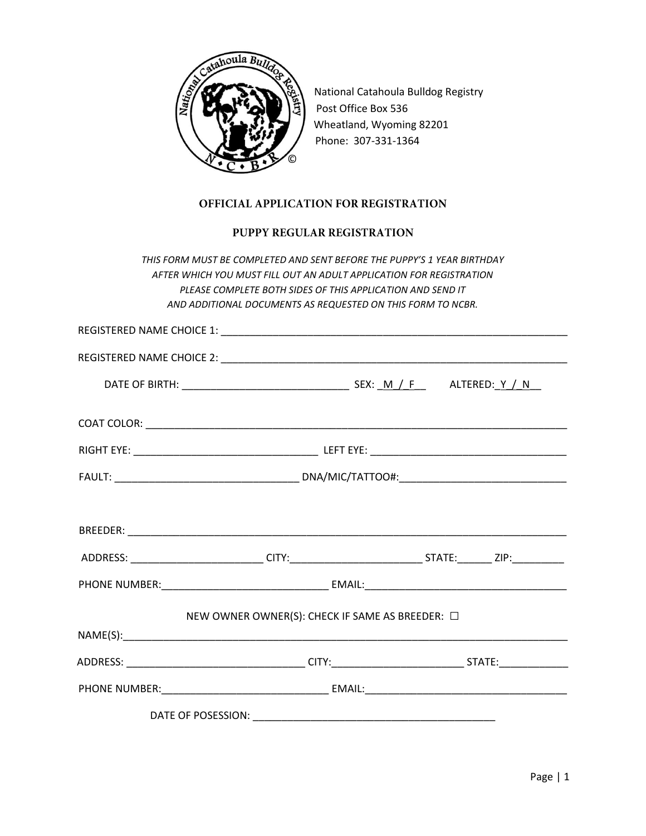

National Catahoula Bulldog Registry Post Office Box 536 Wheatland, Wyoming 82201 Phone: 307-331-1364

## OFFICIAL APPLICATION FOR REGISTRATION

## PUPPY REGULAR REGISTRATION

*THIS FORM MUST BE COMPLETED AND SENT BEFORE THE PUPPY'S 1 YEAR BIRTHDAY AFTER WHICH YOU MUST FILL OUT AN ADULT APPLICATION FOR REGISTRATION PLEASE COMPLETE BOTH SIDES OF THIS APPLICATION AND SEND IT AND ADDITIONAL DOCUMENTS AS REQUESTED ON THIS FORM TO NCBR.*

|                                                         | ADDRESS: ____________________________CITY:______________________________STATE:_________ ZIP:____________ |
|---------------------------------------------------------|----------------------------------------------------------------------------------------------------------|
|                                                         |                                                                                                          |
| NEW OWNER OWNER(S): CHECK IF SAME AS BREEDER: $\square$ |                                                                                                          |
|                                                         |                                                                                                          |
|                                                         |                                                                                                          |
|                                                         |                                                                                                          |
|                                                         |                                                                                                          |